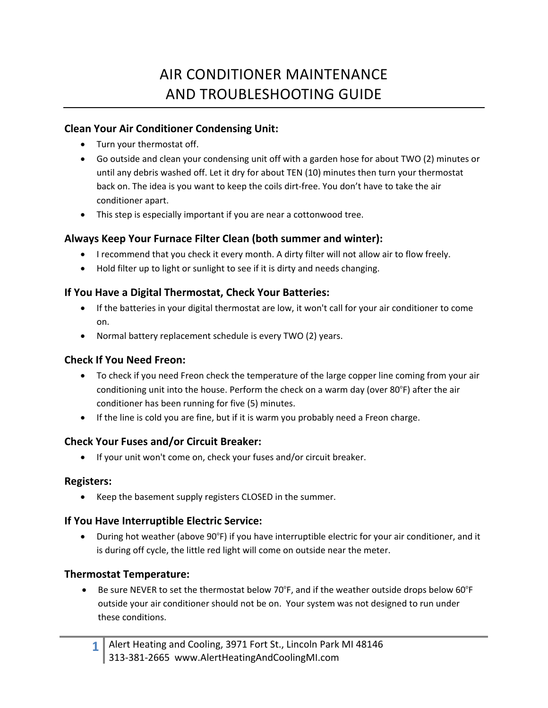# AIR CONDITIONER MAINTENANCE AND TROUBLESHOOTING GUIDE

#### **Clean Your Air Conditioner Condensing Unit:**

- Turn your thermostat off.
- Go outside and clean your condensing unit off with a garden hose for about TWO (2) minutes or until any debris washed off. Let it dry for about TEN (10) minutes then turn your thermostat back on. The idea is you want to keep the coils dirt‐free. You don't have to take the air conditioner apart.
- This step is especially important if you are near a cottonwood tree.

## **Always Keep Your Furnace Filter Clean (both summer and winter):**

- I recommend that you check it every month. A dirty filter will not allow air to flow freely.
- Hold filter up to light or sunlight to see if it is dirty and needs changing.

#### **If You Have a Digital Thermostat, Check Your Batteries:**

- If the batteries in your digital thermostat are low, it won't call for your air conditioner to come on.
- Normal battery replacement schedule is every TWO (2) years.

#### **Check If You Need Freon:**

- To check if you need Freon check the temperature of the large copper line coming from your air conditioning unit into the house. Perform the check on a warm day (over 80°F) after the air conditioner has been running for five (5) minutes.
- If the line is cold you are fine, but if it is warm you probably need a Freon charge.

#### **Check Your Fuses and/or Circuit Breaker:**

If your unit won't come on, check your fuses and/or circuit breaker.

#### **Registers:**

• Keep the basement supply registers CLOSED in the summer.

#### **If You Have Interruptible Electric Service:**

• During hot weather (above 90°F) if you have interruptible electric for your air conditioner, and it is during off cycle, the little red light will come on outside near the meter.

#### **Thermostat Temperature:**

• Be sure NEVER to set the thermostat below 70°F, and if the weather outside drops below 60°F outside your air conditioner should not be on. Your system was not designed to run under these conditions.